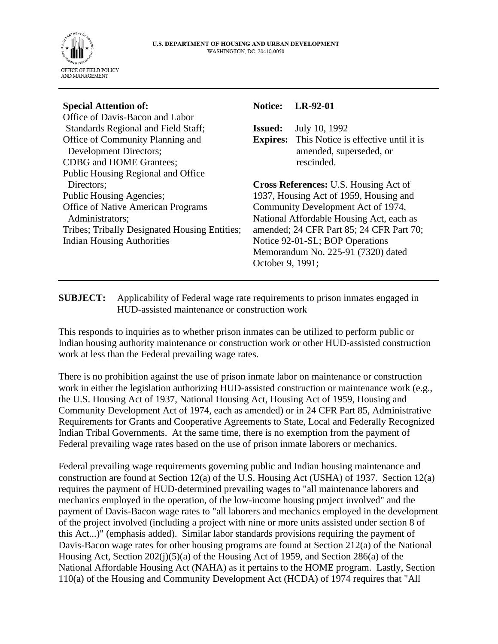

## **Special Attention of:**

Office of Davis-Bacon and Labor Standards Regional and Field Staff; Office of Community Planning and Development Directors; CDBG and HOME Grantees; Public Housing Regional and Office Directors; Public Housing Agencies; Office of Native American Programs Administrators; Tribes; Tribally Designated Housing Entities; Indian Housing Authorities

## **Notice: LR-92-01**

**Issued:** July 10, 1992 **Expires:** This Notice is effective until it is amended, superseded, or rescinded.

**Cross References:** U.S. Housing Act of 1937, Housing Act of 1959, Housing and Community Development Act of 1974, National Affordable Housing Act, each as amended; 24 CFR Part 85; 24 CFR Part 70; Notice 92-01-SL; BOP Operations Memorandum No. 225-91 (7320) dated October 9, 1991;

## **SUBJECT:** Applicability of Federal wage rate requirements to prison inmates engaged in HUD-assisted maintenance or construction work

This responds to inquiries as to whether prison inmates can be utilized to perform public or Indian housing authority maintenance or construction work or other HUD-assisted construction work at less than the Federal prevailing wage rates.

There is no prohibition against the use of prison inmate labor on maintenance or construction work in either the legislation authorizing HUD-assisted construction or maintenance work (e.g., the U.S. Housing Act of 1937, National Housing Act, Housing Act of 1959, Housing and Community Development Act of 1974, each as amended) or in 24 CFR Part 85, Administrative Requirements for Grants and Cooperative Agreements to State, Local and Federally Recognized Indian Tribal Governments. At the same time, there is no exemption from the payment of Federal prevailing wage rates based on the use of prison inmate laborers or mechanics.

Federal prevailing wage requirements governing public and Indian housing maintenance and construction are found at Section 12(a) of the U.S. Housing Act (USHA) of 1937. Section 12(a) requires the payment of HUD-determined prevailing wages to "all maintenance laborers and mechanics employed in the operation, of the low-income housing project involved" and the payment of Davis-Bacon wage rates to "all laborers and mechanics employed in the development of the project involved (including a project with nine or more units assisted under section 8 of this Act...)" (emphasis added). Similar labor standards provisions requiring the payment of Davis-Bacon wage rates for other housing programs are found at Section 212(a) of the National Housing Act, Section 202(j)(5)(a) of the Housing Act of 1959, and Section 286(a) of the National Affordable Housing Act (NAHA) as it pertains to the HOME program. Lastly, Section 110(a) of the Housing and Community Development Act (HCDA) of 1974 requires that "All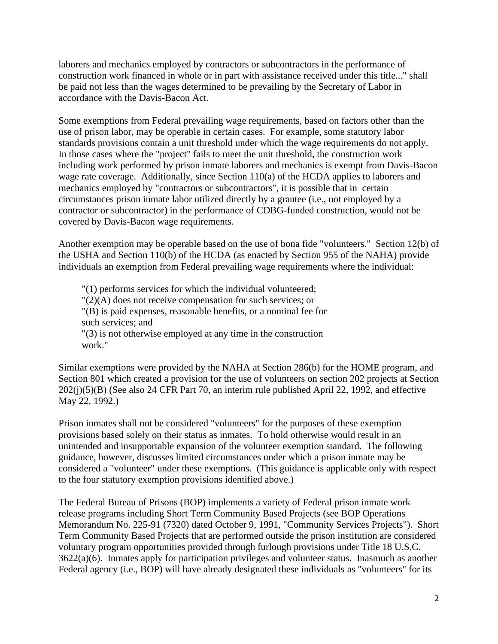laborers and mechanics employed by contractors or subcontractors in the performance of construction work financed in whole or in part with assistance received under this title..." shall be paid not less than the wages determined to be prevailing by the Secretary of Labor in accordance with the Davis-Bacon Act.

Some exemptions from Federal prevailing wage requirements, based on factors other than the use of prison labor, may be operable in certain cases. For example, some statutory labor standards provisions contain a unit threshold under which the wage requirements do not apply. In those cases where the "project" fails to meet the unit threshold, the construction work including work performed by prison inmate laborers and mechanics is exempt from Davis-Bacon wage rate coverage. Additionally, since Section 110(a) of the HCDA applies to laborers and mechanics employed by "contractors or subcontractors", it is possible that in certain circumstances prison inmate labor utilized directly by a grantee (i.e., not employed by a contractor or subcontractor) in the performance of CDBG-funded construction, would not be covered by Davis-Bacon wage requirements.

Another exemption may be operable based on the use of bona fide "volunteers." Section 12(b) of the USHA and Section 110(b) of the HCDA (as enacted by Section 955 of the NAHA) provide individuals an exemption from Federal prevailing wage requirements where the individual:

 "(1) performs services for which the individual volunteered; "(2)(A) does not receive compensation for such services; or "(B) is paid expenses, reasonable benefits, or a nominal fee for such services; and "(3) is not otherwise employed at any time in the construction work."

Similar exemptions were provided by the NAHA at Section 286(b) for the HOME program, and Section 801 which created a provision for the use of volunteers on section 202 projects at Section 202(j)(5)(B) (See also 24 CFR Part 70, an interim rule published April 22, 1992, and effective May 22, 1992.)

Prison inmates shall not be considered "volunteers" for the purposes of these exemption provisions based solely on their status as inmates. To hold otherwise would result in an unintended and insupportable expansion of the volunteer exemption standard. The following guidance, however, discusses limited circumstances under which a prison inmate may be considered a "volunteer" under these exemptions. (This guidance is applicable only with respect to the four statutory exemption provisions identified above.)

The Federal Bureau of Prisons (BOP) implements a variety of Federal prison inmate work release programs including Short Term Community Based Projects (see BOP Operations Memorandum No. 225-91 (7320) dated October 9, 1991, "Community Services Projects"). Short Term Community Based Projects that are performed outside the prison institution are considered voluntary program opportunities provided through furlough provisions under Title 18 U.S.C. 3622(a)(6). Inmates apply for participation privileges and volunteer status. Inasmuch as another Federal agency (i.e., BOP) will have already designated these individuals as "volunteers" for its